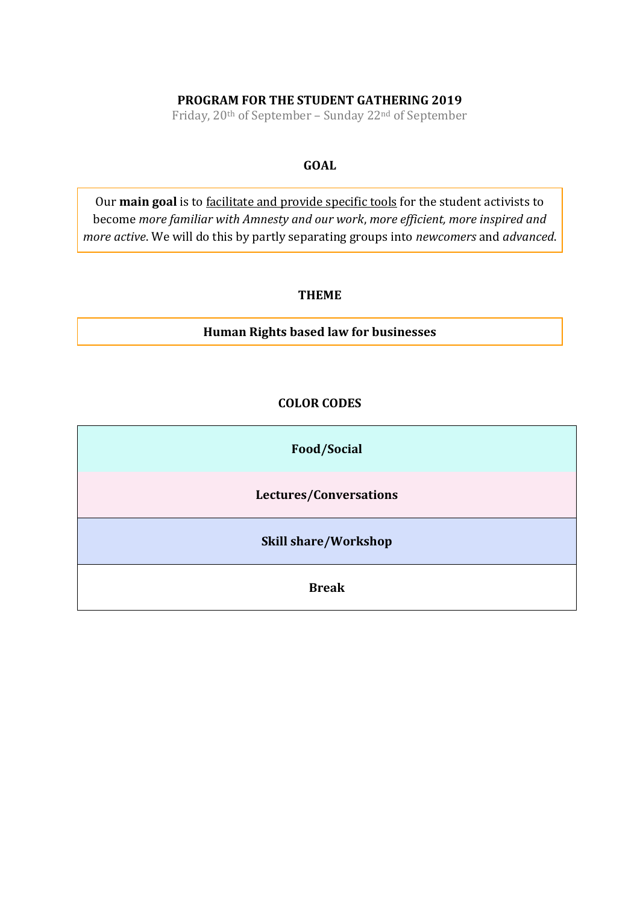# **PROGRAM FOR THE STUDENT GATHERING 2019**

Friday, 20th of September – Sunday 22nd of September

## **GOAL**

Our **main goal** is to facilitate and provide specific tools for the student activists to become *more familiar with Amnesty and our work*, *more efficient, more inspired and more active*. We will do this by partly separating groups into *newcomers* and *advanced*.

### **THEME**

**Human Rights based law for businesses** 

## **COLOR CODES**

**Food/Social**

**Lectures/Conversations**

**Skill share/Workshop**

**Break**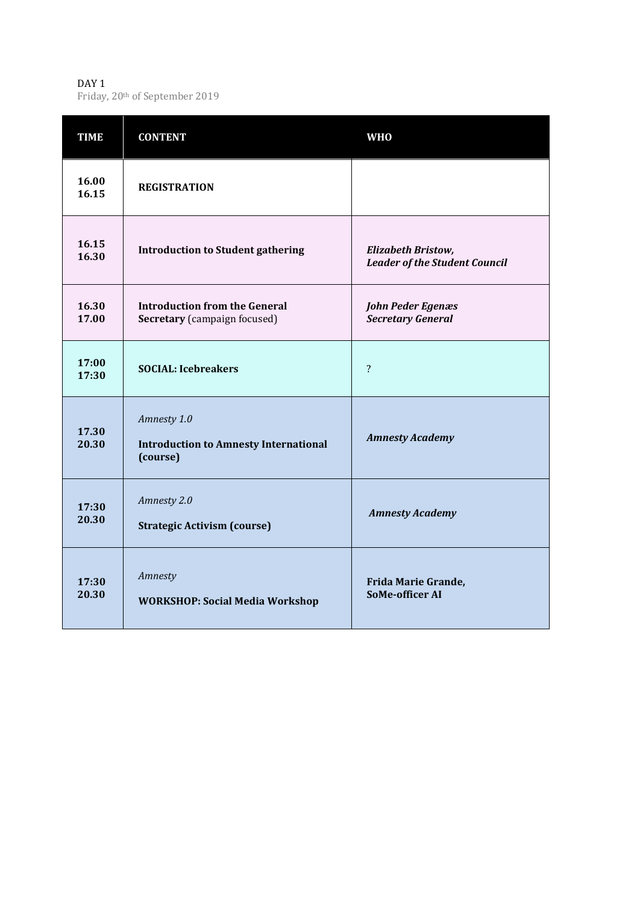#### DAY 1 Friday, 20th of September 2019

| <b>TIME</b>    | <b>CONTENT</b>                                                              | <b>WHO</b>                                                 |
|----------------|-----------------------------------------------------------------------------|------------------------------------------------------------|
| 16.00<br>16.15 | <b>REGISTRATION</b>                                                         |                                                            |
| 16.15<br>16.30 | <b>Introduction to Student gathering</b>                                    | Elizabeth Bristow,<br><b>Leader of the Student Council</b> |
| 16.30<br>17.00 | <b>Introduction from the General</b><br><b>Secretary</b> (campaign focused) | John Peder Egenæs<br><b>Secretary General</b>              |
| 17:00<br>17:30 | <b>SOCIAL: Icebreakers</b>                                                  | $\overline{?}$                                             |
| 17.30<br>20.30 | Amnesty 1.0<br><b>Introduction to Amnesty International</b><br>(course)     | <b>Amnesty Academy</b>                                     |
| 17:30<br>20.30 | Amnesty 2.0<br><b>Strategic Activism (course)</b>                           | <b>Amnesty Academy</b>                                     |
| 17:30<br>20.30 | Amnesty<br><b>WORKSHOP: Social Media Workshop</b>                           | Frida Marie Grande,<br><b>SoMe-officer AI</b>              |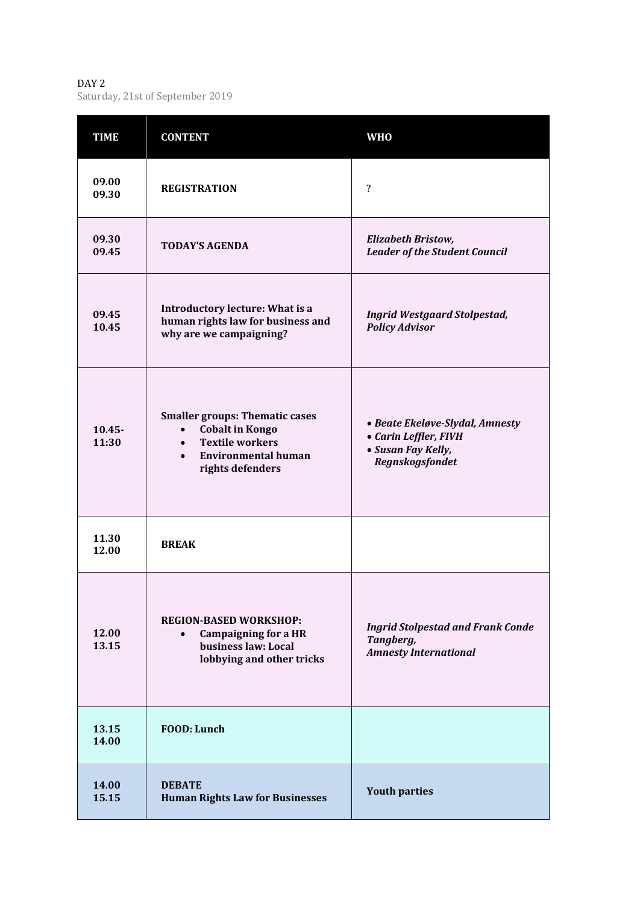DAY 2 Saturday, 21st of September 2019

| <b>TIME</b>        | <b>CONTENT</b>                                                                                                                                                        | <b>WHO</b>                                                                                        |
|--------------------|-----------------------------------------------------------------------------------------------------------------------------------------------------------------------|---------------------------------------------------------------------------------------------------|
| 09.00<br>09.30     | <b>REGISTRATION</b>                                                                                                                                                   | ?                                                                                                 |
| 09.30<br>09.45     | <b>TODAY'S AGENDA</b>                                                                                                                                                 | Elizabeth Bristow,<br><b>Leader of the Student Council</b>                                        |
| 09.45<br>10.45     | <b>Introductory lecture: What is a</b><br>human rights law for business and<br>why are we campaigning?                                                                | <b>Ingrid Westgaard Stolpestad,</b><br><b>Policy Advisor</b>                                      |
| $10.45 -$<br>11:30 | <b>Smaller groups: Thematic cases</b><br><b>Cobalt in Kongo</b><br>$\bullet$<br><b>Textile workers</b><br>$\bullet$<br><b>Environmental human</b><br>rights defenders | • Beate Ekeløve-Slydal, Amnesty<br>• Carin Leffler, FIVH<br>• Susan Fay Kelly,<br>Regnskogsfondet |
| 11.30<br>12.00     | <b>BREAK</b>                                                                                                                                                          |                                                                                                   |
| 12.00<br>13.15     | <b>REGION-BASED WORKSHOP:</b><br><b>Campaigning for a HR</b><br>$\bullet$<br>business law: Local<br>lobbying and other tricks                                         | <b>Ingrid Stolpestad and Frank Conde</b><br>Tangberg,<br><b>Amnesty International</b>             |
| 13.15<br>14.00     | <b>FOOD: Lunch</b>                                                                                                                                                    |                                                                                                   |
| 14.00<br>15.15     | <b>DEBATE</b><br><b>Human Rights Law for Businesses</b>                                                                                                               | <b>Youth parties</b>                                                                              |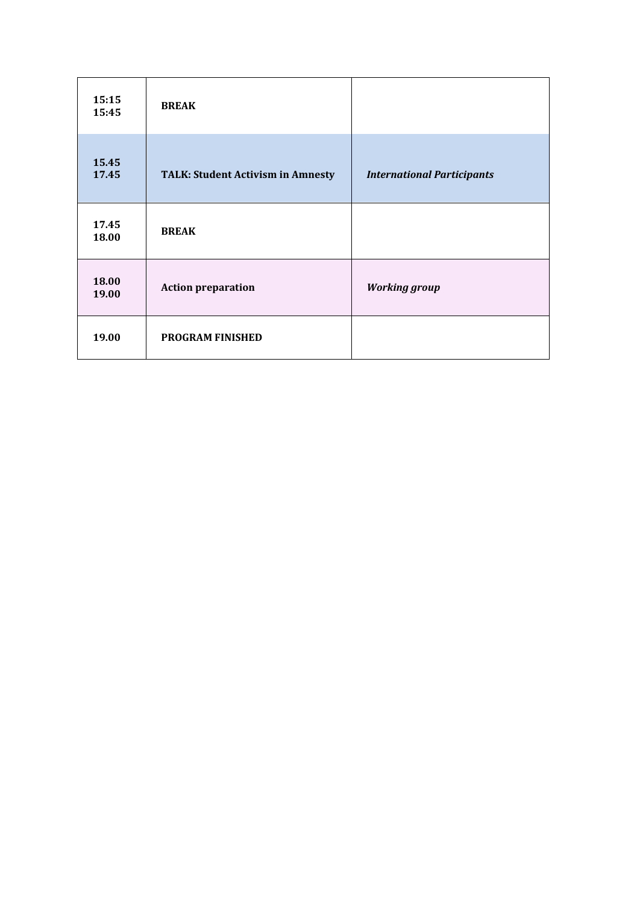| 15:15<br>15:45 | <b>BREAK</b>                             |                                   |
|----------------|------------------------------------------|-----------------------------------|
| 15.45<br>17.45 | <b>TALK: Student Activism in Amnesty</b> | <b>International Participants</b> |
| 17.45<br>18.00 | <b>BREAK</b>                             |                                   |
| 18.00<br>19.00 | <b>Action preparation</b>                | <b>Working group</b>              |
| 19.00          | <b>PROGRAM FINISHED</b>                  |                                   |